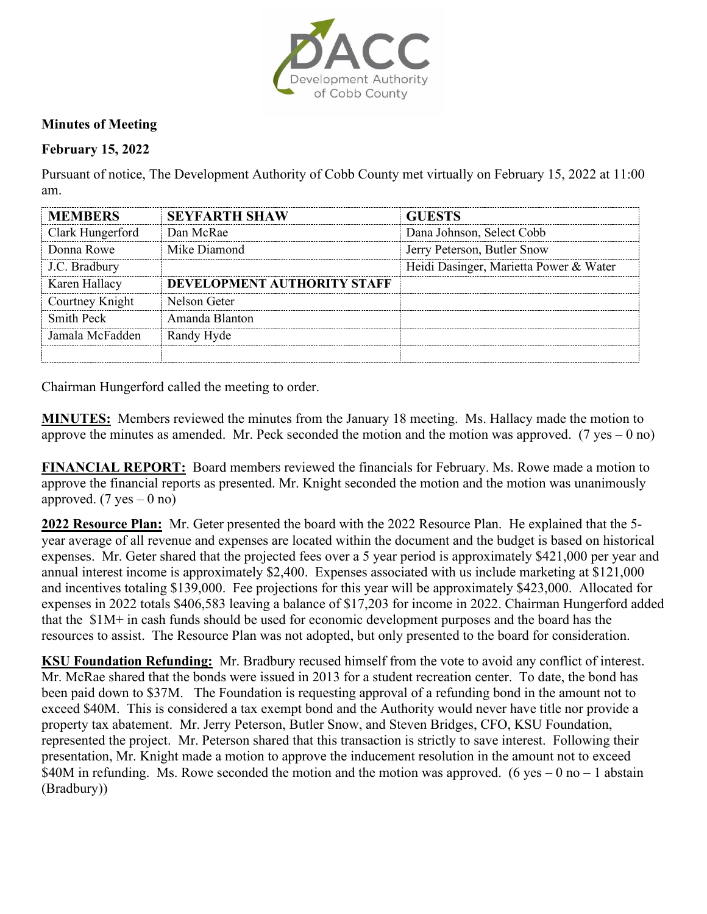

## **Minutes of Meeting**

## **February 15, 2022**

Pursuant of notice, The Development Authority of Cobb County met virtually on February 15, 2022 at 11:00 am.

| <b>MEMBERS</b>   | <b>SEYFARTH SHAW</b>        | <b>GUESTS</b>                          |
|------------------|-----------------------------|----------------------------------------|
| Clark Hungerford | Dan McRae                   | Dana Johnson, Select Cobb              |
| Donna Rowe       | Mike Diamond                | Jerry Peterson, Butler Snow            |
| J.C. Bradbury    |                             | Heidi Dasinger, Marietta Power & Water |
| Karen Hallacy    | DEVELOPMENT AUTHORITY STAFF |                                        |
| Courtney Knight  | Nelson Geter                |                                        |
| Smith Peck       | Amanda Blanton              |                                        |
| Iamala McFadden  | Randy Hyde                  |                                        |
|                  |                             |                                        |

Chairman Hungerford called the meeting to order.

**MINUTES:** Members reviewed the minutes from the January 18 meeting. Ms. Hallacy made the motion to approve the minutes as amended. Mr. Peck seconded the motion and the motion was approved. (7 yes – 0 no)

**FINANCIAL REPORT:** Board members reviewed the financials for February. Ms. Rowe made a motion to approve the financial reports as presented. Mr. Knight seconded the motion and the motion was unanimously approved.  $(7 \text{ yes} - 0 \text{ no})$ 

**2022 Resource Plan:** Mr. Geter presented the board with the 2022 Resource Plan. He explained that the 5 year average of all revenue and expenses are located within the document and the budget is based on historical expenses. Mr. Geter shared that the projected fees over a 5 year period is approximately \$421,000 per year and annual interest income is approximately \$2,400. Expenses associated with us include marketing at \$121,000 and incentives totaling \$139,000. Fee projections for this year will be approximately \$423,000. Allocated for expenses in 2022 totals \$406,583 leaving a balance of \$17,203 for income in 2022. Chairman Hungerford added that the \$1M+ in cash funds should be used for economic development purposes and the board has the resources to assist. The Resource Plan was not adopted, but only presented to the board for consideration.

**KSU Foundation Refunding:** Mr. Bradbury recused himself from the vote to avoid any conflict of interest. Mr. McRae shared that the bonds were issued in 2013 for a student recreation center. To date, the bond has been paid down to \$37M. The Foundation is requesting approval of a refunding bond in the amount not to exceed \$40M. This is considered a tax exempt bond and the Authority would never have title nor provide a property tax abatement. Mr. Jerry Peterson, Butler Snow, and Steven Bridges, CFO, KSU Foundation, represented the project. Mr. Peterson shared that this transaction is strictly to save interest. Following their presentation, Mr. Knight made a motion to approve the inducement resolution in the amount not to exceed \$40M in refunding. Ms. Rowe seconded the motion and the motion was approved. (6 yes  $-$  0 no  $-$  1 abstain (Bradbury))